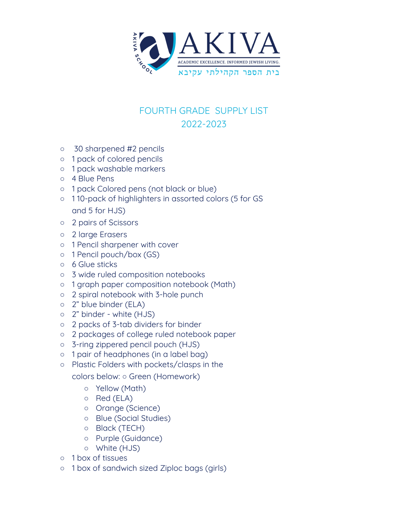

## FOURTH GRADE SUPPLY LIST 2022-2023

- 30 sharpened #2 pencils
- 1 pack of colored pencils
- 1 pack washable markers
- 4 Blue Pens
- 1 pack Colored pens (not black or blue)
- 1 10-pack of highlighters in assorted colors (5 for GS and 5 for HJS)
- 2 pairs of Scissors
- 2 large Erasers
- 1 Pencil sharpener with cover
- 1 Pencil pouch/box (GS)
- 6 Glue sticks
- 3 wide ruled composition notebooks
- 1 graph paper composition notebook (Math)
- 2 spiral notebook with 3-hole punch
- 2" blue binder (ELA)
- 2" binder white (HJS)
- 2 packs of 3-tab dividers for binder
- 2 packages of college ruled notebook paper
- 3-ring zippered pencil pouch (HJS)
- 1 pair of headphones (in a label bag)
- Plastic Folders with pockets/clasps in the

colors below: ○ Green (Homework)

- Yellow (Math)
- Red (ELA)
- Orange (Science)
- Blue (Social Studies)
- Black (TECH)
- Purple (Guidance)
- White (HJS)
- 1 box of tissues
- 1 box of sandwich sized Ziploc bags (girls)